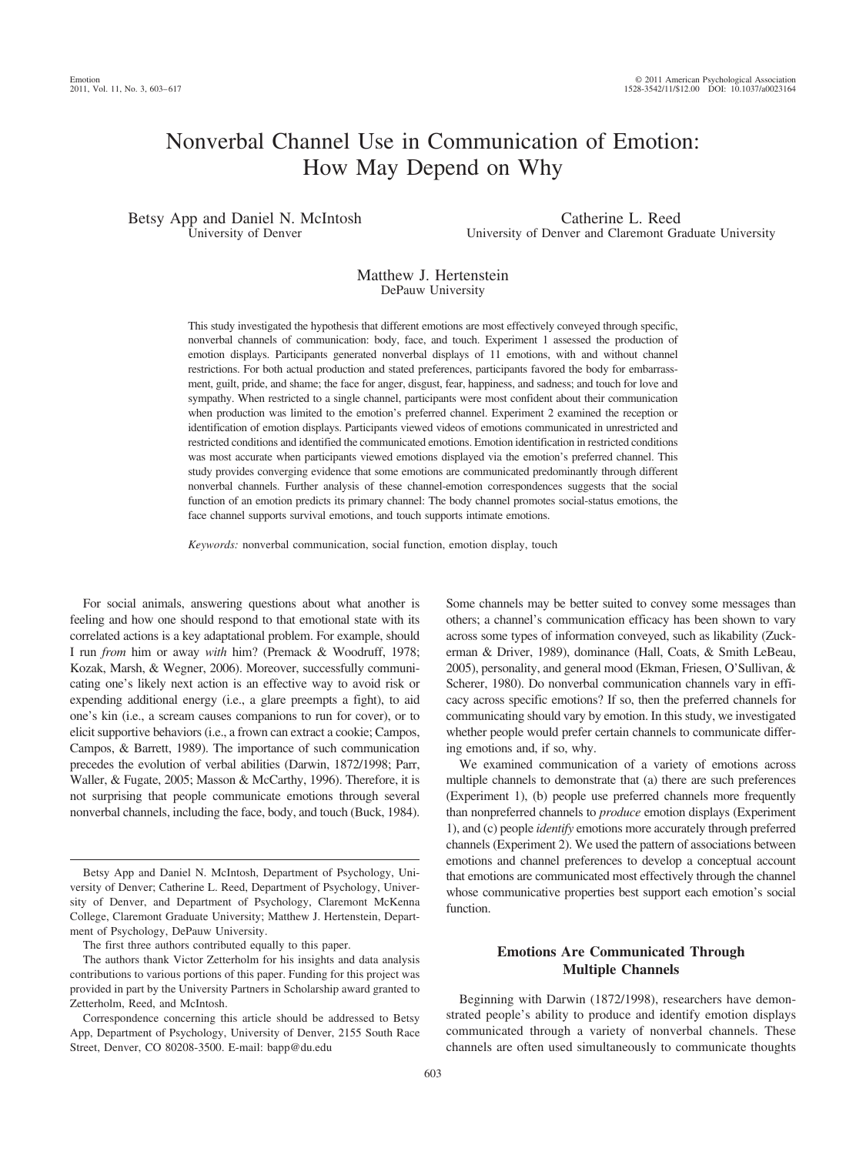# Nonverbal Channel Use in Communication of Emotion: How May Depend on Why

Betsy App and Daniel N. McIntosh University of Denver

Catherine L. Reed University of Denver and Claremont Graduate University

# Matthew J. Hertenstein DePauw University

This study investigated the hypothesis that different emotions are most effectively conveyed through specific, nonverbal channels of communication: body, face, and touch. Experiment 1 assessed the production of emotion displays. Participants generated nonverbal displays of 11 emotions, with and without channel restrictions. For both actual production and stated preferences, participants favored the body for embarrassment, guilt, pride, and shame; the face for anger, disgust, fear, happiness, and sadness; and touch for love and sympathy. When restricted to a single channel, participants were most confident about their communication when production was limited to the emotion's preferred channel. Experiment 2 examined the reception or identification of emotion displays. Participants viewed videos of emotions communicated in unrestricted and restricted conditions and identified the communicated emotions. Emotion identification in restricted conditions was most accurate when participants viewed emotions displayed via the emotion's preferred channel. This study provides converging evidence that some emotions are communicated predominantly through different nonverbal channels. Further analysis of these channel-emotion correspondences suggests that the social function of an emotion predicts its primary channel: The body channel promotes social-status emotions, the face channel supports survival emotions, and touch supports intimate emotions.

*Keywords:* nonverbal communication, social function, emotion display, touch

For social animals, answering questions about what another is feeling and how one should respond to that emotional state with its correlated actions is a key adaptational problem. For example, should I run *from* him or away *with* him? (Premack & Woodruff, 1978; Kozak, Marsh, & Wegner, 2006). Moreover, successfully communicating one's likely next action is an effective way to avoid risk or expending additional energy (i.e., a glare preempts a fight), to aid one's kin (i.e., a scream causes companions to run for cover), or to elicit supportive behaviors (i.e., a frown can extract a cookie; Campos, Campos, & Barrett, 1989). The importance of such communication precedes the evolution of verbal abilities (Darwin, 1872/1998; Parr, Waller, & Fugate, 2005; Masson & McCarthy, 1996). Therefore, it is not surprising that people communicate emotions through several nonverbal channels, including the face, body, and touch (Buck, 1984).

Some channels may be better suited to convey some messages than others; a channel's communication efficacy has been shown to vary across some types of information conveyed, such as likability (Zuckerman & Driver, 1989), dominance (Hall, Coats, & Smith LeBeau, 2005), personality, and general mood (Ekman, Friesen, O'Sullivan, & Scherer, 1980). Do nonverbal communication channels vary in efficacy across specific emotions? If so, then the preferred channels for communicating should vary by emotion. In this study, we investigated whether people would prefer certain channels to communicate differing emotions and, if so, why.

We examined communication of a variety of emotions across multiple channels to demonstrate that (a) there are such preferences (Experiment 1), (b) people use preferred channels more frequently than nonpreferred channels to *produce* emotion displays (Experiment 1), and (c) people *identify* emotions more accurately through preferred channels (Experiment 2). We used the pattern of associations between emotions and channel preferences to develop a conceptual account that emotions are communicated most effectively through the channel whose communicative properties best support each emotion's social function.

# **Emotions Are Communicated Through Multiple Channels**

Beginning with Darwin (1872/1998), researchers have demonstrated people's ability to produce and identify emotion displays communicated through a variety of nonverbal channels. These channels are often used simultaneously to communicate thoughts

Betsy App and Daniel N. McIntosh, Department of Psychology, University of Denver; Catherine L. Reed, Department of Psychology, University of Denver, and Department of Psychology, Claremont McKenna College, Claremont Graduate University; Matthew J. Hertenstein, Department of Psychology, DePauw University.

The first three authors contributed equally to this paper.

The authors thank Victor Zetterholm for his insights and data analysis contributions to various portions of this paper. Funding for this project was provided in part by the University Partners in Scholarship award granted to Zetterholm, Reed, and McIntosh.

Correspondence concerning this article should be addressed to Betsy App, Department of Psychology, University of Denver, 2155 South Race Street, Denver, CO 80208-3500. E-mail: bapp@du.edu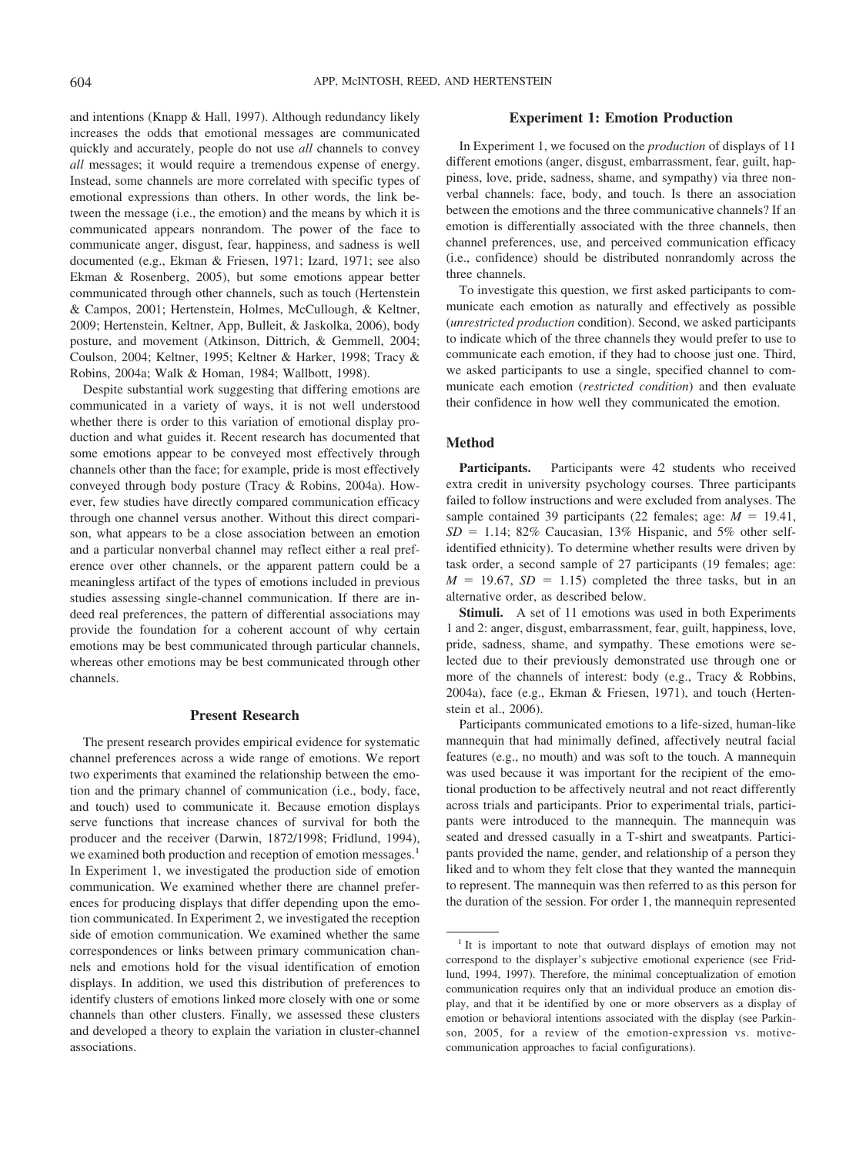and intentions (Knapp & Hall, 1997). Although redundancy likely increases the odds that emotional messages are communicated quickly and accurately, people do not use *all* channels to convey *all* messages; it would require a tremendous expense of energy. Instead, some channels are more correlated with specific types of emotional expressions than others. In other words, the link between the message (i.e., the emotion) and the means by which it is communicated appears nonrandom. The power of the face to communicate anger, disgust, fear, happiness, and sadness is well documented (e.g., Ekman & Friesen, 1971; Izard, 1971; see also Ekman & Rosenberg, 2005), but some emotions appear better communicated through other channels, such as touch (Hertenstein & Campos, 2001; Hertenstein, Holmes, McCullough, & Keltner, 2009; Hertenstein, Keltner, App, Bulleit, & Jaskolka, 2006), body posture, and movement (Atkinson, Dittrich, & Gemmell, 2004; Coulson, 2004; Keltner, 1995; Keltner & Harker, 1998; Tracy & Robins, 2004a; Walk & Homan, 1984; Wallbott, 1998).

Despite substantial work suggesting that differing emotions are communicated in a variety of ways, it is not well understood whether there is order to this variation of emotional display production and what guides it. Recent research has documented that some emotions appear to be conveyed most effectively through channels other than the face; for example, pride is most effectively conveyed through body posture (Tracy & Robins, 2004a). However, few studies have directly compared communication efficacy through one channel versus another. Without this direct comparison, what appears to be a close association between an emotion and a particular nonverbal channel may reflect either a real preference over other channels, or the apparent pattern could be a meaningless artifact of the types of emotions included in previous studies assessing single-channel communication. If there are indeed real preferences, the pattern of differential associations may provide the foundation for a coherent account of why certain emotions may be best communicated through particular channels, whereas other emotions may be best communicated through other channels.

#### **Present Research**

The present research provides empirical evidence for systematic channel preferences across a wide range of emotions. We report two experiments that examined the relationship between the emotion and the primary channel of communication (i.e., body, face, and touch) used to communicate it. Because emotion displays serve functions that increase chances of survival for both the producer and the receiver (Darwin, 1872/1998; Fridlund, 1994), we examined both production and reception of emotion messages.<sup>1</sup> In Experiment 1, we investigated the production side of emotion communication. We examined whether there are channel preferences for producing displays that differ depending upon the emotion communicated. In Experiment 2, we investigated the reception side of emotion communication. We examined whether the same correspondences or links between primary communication channels and emotions hold for the visual identification of emotion displays. In addition, we used this distribution of preferences to identify clusters of emotions linked more closely with one or some channels than other clusters. Finally, we assessed these clusters and developed a theory to explain the variation in cluster-channel associations.

#### **Experiment 1: Emotion Production**

In Experiment 1, we focused on the *production* of displays of 11 different emotions (anger, disgust, embarrassment, fear, guilt, happiness, love, pride, sadness, shame, and sympathy) via three nonverbal channels: face, body, and touch. Is there an association between the emotions and the three communicative channels? If an emotion is differentially associated with the three channels, then channel preferences, use, and perceived communication efficacy (i.e., confidence) should be distributed nonrandomly across the three channels.

To investigate this question, we first asked participants to communicate each emotion as naturally and effectively as possible (*unrestricted production* condition). Second, we asked participants to indicate which of the three channels they would prefer to use to communicate each emotion, if they had to choose just one. Third, we asked participants to use a single, specified channel to communicate each emotion (*restricted condition*) and then evaluate their confidence in how well they communicated the emotion.

# **Method**

Participants. Participants were 42 students who received extra credit in university psychology courses. Three participants failed to follow instructions and were excluded from analyses. The sample contained 39 participants (22 females; age:  $M = 19.41$ ,  $SD = 1.14$ ; 82% Caucasian, 13% Hispanic, and 5% other selfidentified ethnicity). To determine whether results were driven by task order, a second sample of 27 participants (19 females; age:  $M = 19.67$ ,  $SD = 1.15$  completed the three tasks, but in an alternative order, as described below.

**Stimuli.** A set of 11 emotions was used in both Experiments 1 and 2: anger, disgust, embarrassment, fear, guilt, happiness, love, pride, sadness, shame, and sympathy. These emotions were selected due to their previously demonstrated use through one or more of the channels of interest: body (e.g., Tracy & Robbins, 2004a), face (e.g., Ekman & Friesen, 1971), and touch (Hertenstein et al., 2006).

Participants communicated emotions to a life-sized, human-like mannequin that had minimally defined, affectively neutral facial features (e.g., no mouth) and was soft to the touch. A mannequin was used because it was important for the recipient of the emotional production to be affectively neutral and not react differently across trials and participants. Prior to experimental trials, participants were introduced to the mannequin. The mannequin was seated and dressed casually in a T-shirt and sweatpants. Participants provided the name, gender, and relationship of a person they liked and to whom they felt close that they wanted the mannequin to represent. The mannequin was then referred to as this person for the duration of the session. For order 1, the mannequin represented

<sup>&</sup>lt;sup>1</sup> It is important to note that outward displays of emotion may not correspond to the displayer's subjective emotional experience (see Fridlund, 1994, 1997). Therefore, the minimal conceptualization of emotion communication requires only that an individual produce an emotion display, and that it be identified by one or more observers as a display of emotion or behavioral intentions associated with the display (see Parkinson, 2005, for a review of the emotion-expression vs. motivecommunication approaches to facial configurations).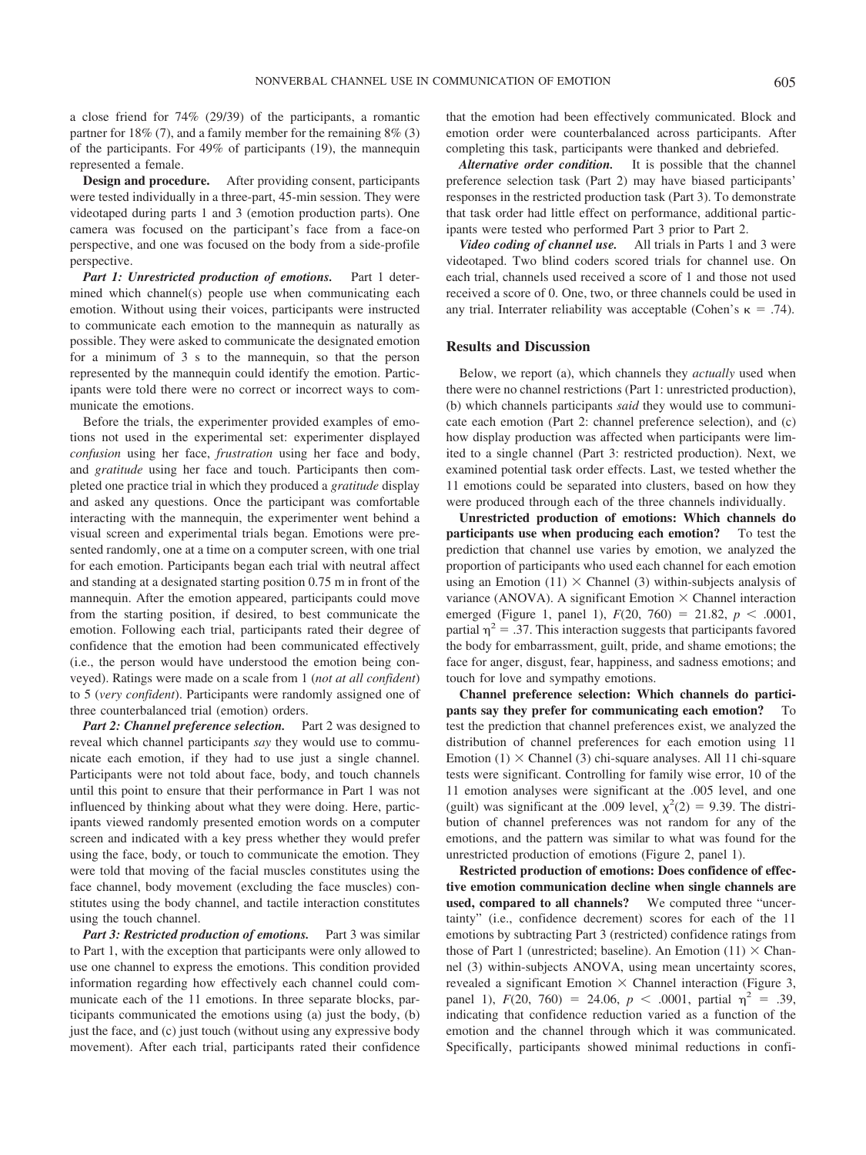a close friend for 74% (29/39) of the participants, a romantic partner for 18% (7), and a family member for the remaining 8% (3) of the participants. For 49% of participants (19), the mannequin represented a female.

**Design and procedure.** After providing consent, participants were tested individually in a three-part, 45-min session. They were videotaped during parts 1 and 3 (emotion production parts). One camera was focused on the participant's face from a face-on perspective, and one was focused on the body from a side-profile perspective.

*Part 1: Unrestricted production of emotions.* Part 1 determined which channel(s) people use when communicating each emotion. Without using their voices, participants were instructed to communicate each emotion to the mannequin as naturally as possible. They were asked to communicate the designated emotion for a minimum of 3 s to the mannequin, so that the person represented by the mannequin could identify the emotion. Participants were told there were no correct or incorrect ways to communicate the emotions.

Before the trials, the experimenter provided examples of emotions not used in the experimental set: experimenter displayed *confusion* using her face, *frustration* using her face and body, and *gratitude* using her face and touch. Participants then completed one practice trial in which they produced a *gratitude* display and asked any questions. Once the participant was comfortable interacting with the mannequin, the experimenter went behind a visual screen and experimental trials began. Emotions were presented randomly, one at a time on a computer screen, with one trial for each emotion. Participants began each trial with neutral affect and standing at a designated starting position 0.75 m in front of the mannequin. After the emotion appeared, participants could move from the starting position, if desired, to best communicate the emotion. Following each trial, participants rated their degree of confidence that the emotion had been communicated effectively (i.e., the person would have understood the emotion being conveyed). Ratings were made on a scale from 1 (*not at all confident*) to 5 (*very confident*). Participants were randomly assigned one of three counterbalanced trial (emotion) orders.

*Part 2: Channel preference selection.* Part 2 was designed to reveal which channel participants *say* they would use to communicate each emotion, if they had to use just a single channel. Participants were not told about face, body, and touch channels until this point to ensure that their performance in Part 1 was not influenced by thinking about what they were doing. Here, participants viewed randomly presented emotion words on a computer screen and indicated with a key press whether they would prefer using the face, body, or touch to communicate the emotion. They were told that moving of the facial muscles constitutes using the face channel, body movement (excluding the face muscles) constitutes using the body channel, and tactile interaction constitutes using the touch channel.

*Part 3: Restricted production of emotions.* Part 3 was similar to Part 1, with the exception that participants were only allowed to use one channel to express the emotions. This condition provided information regarding how effectively each channel could communicate each of the 11 emotions. In three separate blocks, participants communicated the emotions using (a) just the body, (b) just the face, and (c) just touch (without using any expressive body movement). After each trial, participants rated their confidence that the emotion had been effectively communicated. Block and emotion order were counterbalanced across participants. After completing this task, participants were thanked and debriefed.

*Alternative order condition.* It is possible that the channel preference selection task (Part 2) may have biased participants' responses in the restricted production task (Part 3). To demonstrate that task order had little effect on performance, additional participants were tested who performed Part 3 prior to Part 2.

*Video coding of channel use.* All trials in Parts 1 and 3 were videotaped. Two blind coders scored trials for channel use. On each trial, channels used received a score of 1 and those not used received a score of 0. One, two, or three channels could be used in any trial. Interrater reliability was acceptable (Cohen's  $\kappa = .74$ ).

#### **Results and Discussion**

Below, we report (a), which channels they *actually* used when there were no channel restrictions (Part 1: unrestricted production), (b) which channels participants *said* they would use to communicate each emotion (Part 2: channel preference selection), and (c) how display production was affected when participants were limited to a single channel (Part 3: restricted production). Next, we examined potential task order effects. Last, we tested whether the 11 emotions could be separated into clusters, based on how they were produced through each of the three channels individually.

**Unrestricted production of emotions: Which channels do participants use when producing each emotion?** To test the prediction that channel use varies by emotion, we analyzed the proportion of participants who used each channel for each emotion using an Emotion (11)  $\times$  Channel (3) within-subjects analysis of variance (ANOVA). A significant Emotion  $\times$  Channel interaction emerged (Figure 1, panel 1),  $F(20, 760) = 21.82$ ,  $p < .0001$ , partial  $\eta^2 = .37$ . This interaction suggests that participants favored the body for embarrassment, guilt, pride, and shame emotions; the face for anger, disgust, fear, happiness, and sadness emotions; and touch for love and sympathy emotions.

**Channel preference selection: Which channels do participants say they prefer for communicating each emotion?** To test the prediction that channel preferences exist, we analyzed the distribution of channel preferences for each emotion using 11 Emotion  $(1) \times$  Channel  $(3)$  chi-square analyses. All 11 chi-square tests were significant. Controlling for family wise error, 10 of the 11 emotion analyses were significant at the .005 level, and one (guilt) was significant at the .009 level,  $\chi^2(2) = 9.39$ . The distribution of channel preferences was not random for any of the emotions, and the pattern was similar to what was found for the unrestricted production of emotions (Figure 2, panel 1).

**Restricted production of emotions: Does confidence of effective emotion communication decline when single channels are used, compared to all channels?** We computed three "uncertainty" (i.e., confidence decrement) scores for each of the 11 emotions by subtracting Part 3 (restricted) confidence ratings from those of Part 1 (unrestricted; baseline). An Emotion (11)  $\times$  Channel (3) within-subjects ANOVA, using mean uncertainty scores, revealed a significant Emotion  $\times$  Channel interaction (Figure 3, panel 1),  $F(20, 760) = 24.06$ ,  $p < .0001$ , partial  $\eta^2 = .39$ , indicating that confidence reduction varied as a function of the emotion and the channel through which it was communicated. Specifically, participants showed minimal reductions in confi-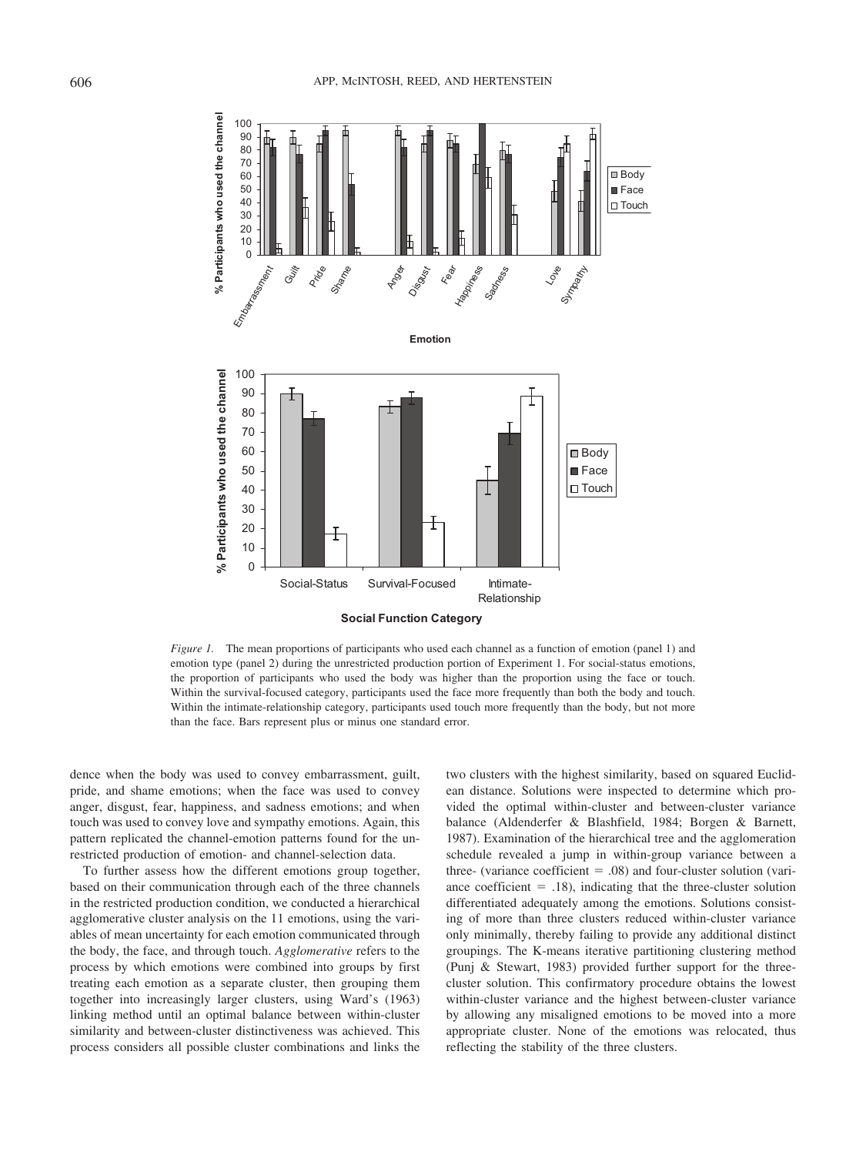

*Figure 1.* The mean proportions of participants who used each channel as a function of emotion (panel 1) and emotion type (panel 2) during the unrestricted production portion of Experiment 1. For social-status emotions, the proportion of participants who used the body was higher than the proportion using the face or touch. Within the survival-focused category, participants used the face more frequently than both the body and touch. Within the intimate-relationship category, participants used touch more frequently than the body, but not more than the face. Bars represent plus or minus one standard error.

dence when the body was used to convey embarrassment, guilt, pride, and shame emotions; when the face was used to convey anger, disgust, fear, happiness, and sadness emotions; and when touch was used to convey love and sympathy emotions. Again, this pattern replicated the channel-emotion patterns found for the unrestricted production of emotion- and channel-selection data.

To further assess how the different emotions group together, based on their communication through each of the three channels in the restricted production condition, we conducted a hierarchical agglomerative cluster analysis on the 11 emotions, using the variables of mean uncertainty for each emotion communicated through the body, the face, and through touch. *Agglomerative* refers to the process by which emotions were combined into groups by first treating each emotion as a separate cluster, then grouping them together into increasingly larger clusters, using Ward's (1963) linking method until an optimal balance between within-cluster similarity and between-cluster distinctiveness was achieved. This process considers all possible cluster combinations and links the

two clusters with the highest similarity, based on squared Euclidean distance. Solutions were inspected to determine which provided the optimal within-cluster and between-cluster variance balance (Aldenderfer & Blashfield, 1984; Borgen & Barnett, 1987). Examination of the hierarchical tree and the agglomeration schedule revealed a jump in within-group variance between a three- (variance coefficient  $= .08$ ) and four-cluster solution (variance coefficient  $=$  .18), indicating that the three-cluster solution differentiated adequately among the emotions. Solutions consisting of more than three clusters reduced within-cluster variance only minimally, thereby failing to provide any additional distinct groupings. The K-means iterative partitioning clustering method (Punj & Stewart, 1983) provided further support for the threecluster solution. This confirmatory procedure obtains the lowest within-cluster variance and the highest between-cluster variance by allowing any misaligned emotions to be moved into a more appropriate cluster. None of the emotions was relocated, thus reflecting the stability of the three clusters.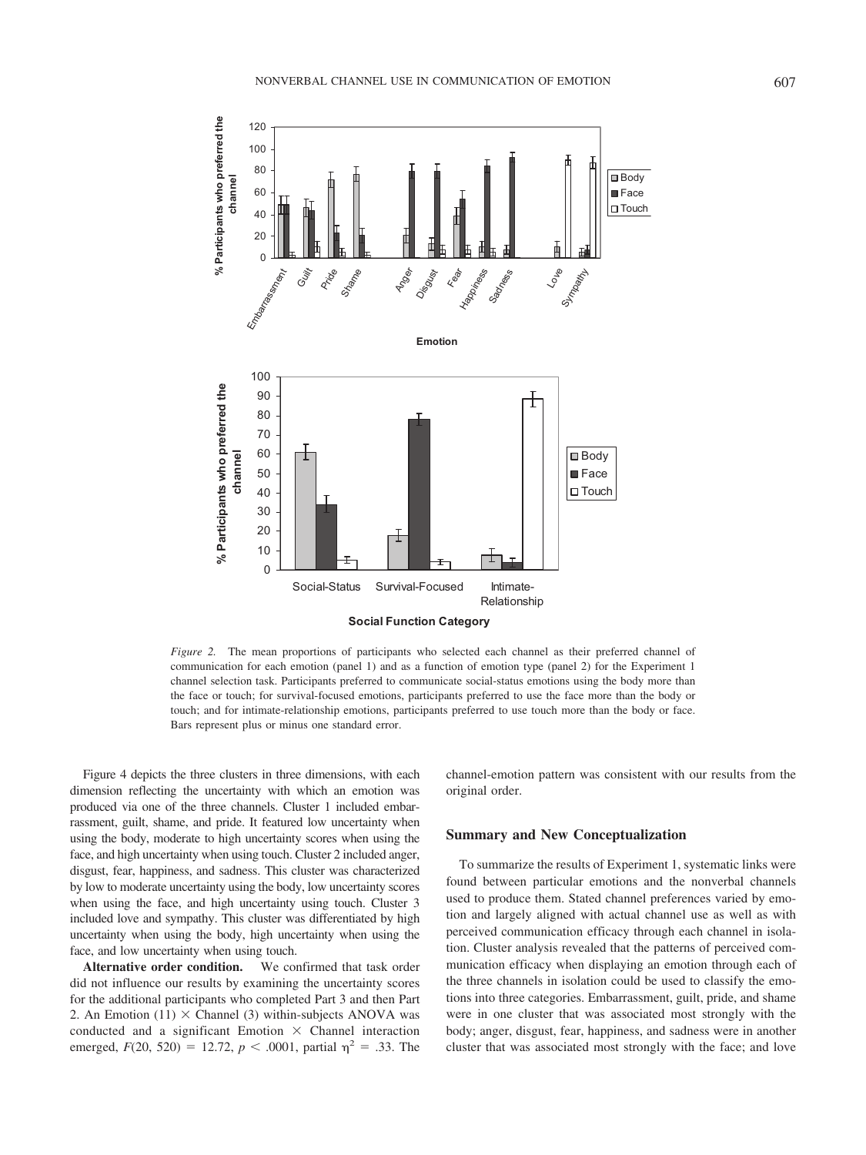

*Figure 2.* The mean proportions of participants who selected each channel as their preferred channel of communication for each emotion (panel 1) and as a function of emotion type (panel 2) for the Experiment 1 channel selection task. Participants preferred to communicate social-status emotions using the body more than the face or touch; for survival-focused emotions, participants preferred to use the face more than the body or touch; and for intimate-relationship emotions, participants preferred to use touch more than the body or face. Bars represent plus or minus one standard error.

Figure 4 depicts the three clusters in three dimensions, with each dimension reflecting the uncertainty with which an emotion was produced via one of the three channels. Cluster 1 included embarrassment, guilt, shame, and pride. It featured low uncertainty when using the body, moderate to high uncertainty scores when using the face, and high uncertainty when using touch. Cluster 2 included anger, disgust, fear, happiness, and sadness. This cluster was characterized by low to moderate uncertainty using the body, low uncertainty scores when using the face, and high uncertainty using touch. Cluster 3 included love and sympathy. This cluster was differentiated by high uncertainty when using the body, high uncertainty when using the face, and low uncertainty when using touch.

**Alternative order condition.** We confirmed that task order did not influence our results by examining the uncertainty scores for the additional participants who completed Part 3 and then Part 2. An Emotion (11)  $\times$  Channel (3) within-subjects ANOVA was conducted and a significant Emotion  $\times$  Channel interaction emerged,  $F(20, 520) = 12.72$ ,  $p < .0001$ , partial  $\eta^2 = .33$ . The

channel-emotion pattern was consistent with our results from the original order.

## **Summary and New Conceptualization**

To summarize the results of Experiment 1, systematic links were found between particular emotions and the nonverbal channels used to produce them. Stated channel preferences varied by emotion and largely aligned with actual channel use as well as with perceived communication efficacy through each channel in isolation. Cluster analysis revealed that the patterns of perceived communication efficacy when displaying an emotion through each of the three channels in isolation could be used to classify the emotions into three categories. Embarrassment, guilt, pride, and shame were in one cluster that was associated most strongly with the body; anger, disgust, fear, happiness, and sadness were in another cluster that was associated most strongly with the face; and love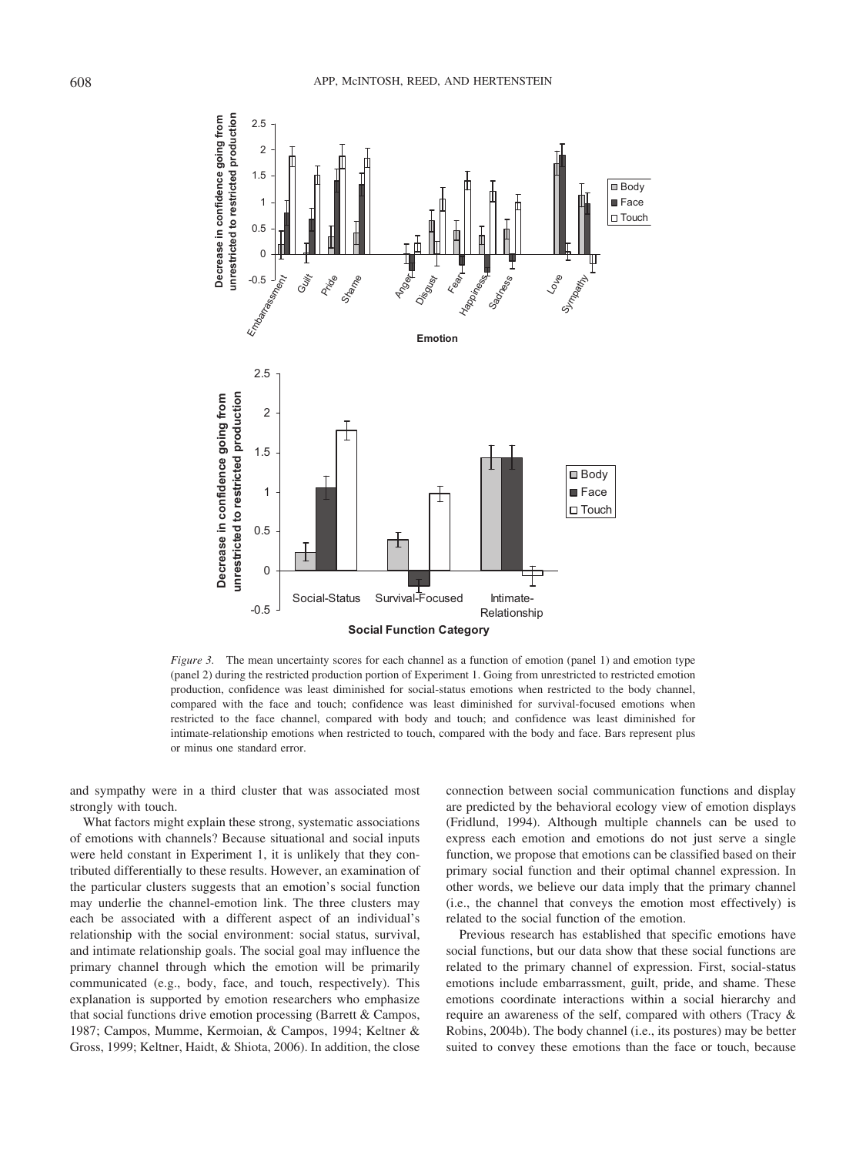

*Figure 3.* The mean uncertainty scores for each channel as a function of emotion (panel 1) and emotion type (panel 2) during the restricted production portion of Experiment 1. Going from unrestricted to restricted emotion production, confidence was least diminished for social-status emotions when restricted to the body channel, compared with the face and touch; confidence was least diminished for survival-focused emotions when restricted to the face channel, compared with body and touch; and confidence was least diminished for intimate-relationship emotions when restricted to touch, compared with the body and face. Bars represent plus or minus one standard error.

and sympathy were in a third cluster that was associated most strongly with touch.

What factors might explain these strong, systematic associations of emotions with channels? Because situational and social inputs were held constant in Experiment 1, it is unlikely that they contributed differentially to these results. However, an examination of the particular clusters suggests that an emotion's social function may underlie the channel-emotion link. The three clusters may each be associated with a different aspect of an individual's relationship with the social environment: social status, survival, and intimate relationship goals. The social goal may influence the primary channel through which the emotion will be primarily communicated (e.g., body, face, and touch, respectively). This explanation is supported by emotion researchers who emphasize that social functions drive emotion processing (Barrett & Campos, 1987; Campos, Mumme, Kermoian, & Campos, 1994; Keltner & Gross, 1999; Keltner, Haidt, & Shiota, 2006). In addition, the close

connection between social communication functions and display are predicted by the behavioral ecology view of emotion displays (Fridlund, 1994). Although multiple channels can be used to express each emotion and emotions do not just serve a single function, we propose that emotions can be classified based on their primary social function and their optimal channel expression. In other words, we believe our data imply that the primary channel (i.e., the channel that conveys the emotion most effectively) is related to the social function of the emotion.

Previous research has established that specific emotions have social functions, but our data show that these social functions are related to the primary channel of expression. First, social-status emotions include embarrassment, guilt, pride, and shame. These emotions coordinate interactions within a social hierarchy and require an awareness of the self, compared with others (Tracy & Robins, 2004b). The body channel (i.e., its postures) may be better suited to convey these emotions than the face or touch, because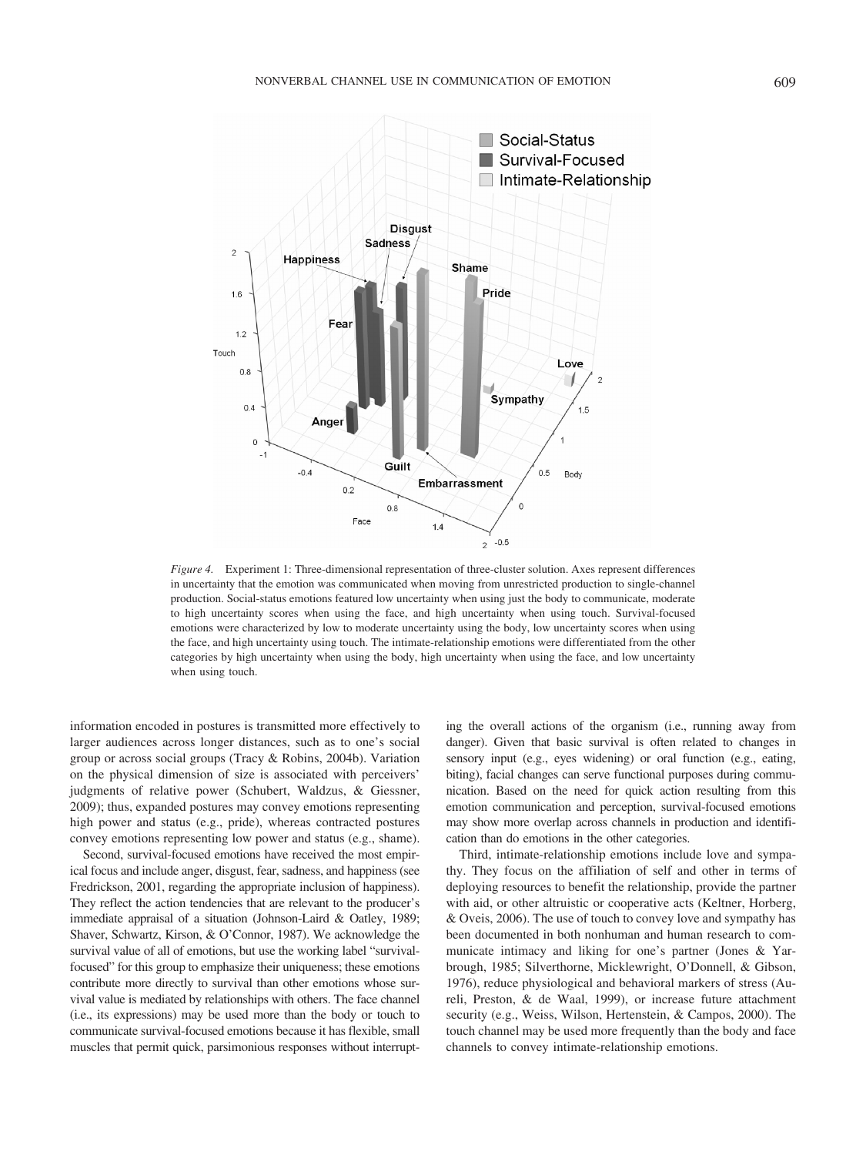

*Figure 4.* Experiment 1: Three-dimensional representation of three-cluster solution. Axes represent differences in uncertainty that the emotion was communicated when moving from unrestricted production to single-channel production. Social-status emotions featured low uncertainty when using just the body to communicate, moderate to high uncertainty scores when using the face, and high uncertainty when using touch. Survival-focused emotions were characterized by low to moderate uncertainty using the body, low uncertainty scores when using the face, and high uncertainty using touch. The intimate-relationship emotions were differentiated from the other categories by high uncertainty when using the body, high uncertainty when using the face, and low uncertainty when using touch.

information encoded in postures is transmitted more effectively to larger audiences across longer distances, such as to one's social group or across social groups (Tracy & Robins, 2004b). Variation on the physical dimension of size is associated with perceivers' judgments of relative power (Schubert, Waldzus, & Giessner, 2009); thus, expanded postures may convey emotions representing high power and status (e.g., pride), whereas contracted postures convey emotions representing low power and status (e.g., shame).

Second, survival-focused emotions have received the most empirical focus and include anger, disgust, fear, sadness, and happiness (see Fredrickson, 2001, regarding the appropriate inclusion of happiness). They reflect the action tendencies that are relevant to the producer's immediate appraisal of a situation (Johnson-Laird & Oatley, 1989; Shaver, Schwartz, Kirson, & O'Connor, 1987). We acknowledge the survival value of all of emotions, but use the working label "survivalfocused" for this group to emphasize their uniqueness; these emotions contribute more directly to survival than other emotions whose survival value is mediated by relationships with others. The face channel (i.e., its expressions) may be used more than the body or touch to communicate survival-focused emotions because it has flexible, small muscles that permit quick, parsimonious responses without interrupt-

ing the overall actions of the organism (i.e., running away from danger). Given that basic survival is often related to changes in sensory input (e.g., eyes widening) or oral function (e.g., eating, biting), facial changes can serve functional purposes during communication. Based on the need for quick action resulting from this emotion communication and perception, survival-focused emotions may show more overlap across channels in production and identification than do emotions in the other categories.

Third, intimate-relationship emotions include love and sympathy. They focus on the affiliation of self and other in terms of deploying resources to benefit the relationship, provide the partner with aid, or other altruistic or cooperative acts (Keltner, Horberg, & Oveis, 2006). The use of touch to convey love and sympathy has been documented in both nonhuman and human research to communicate intimacy and liking for one's partner (Jones & Yarbrough, 1985; Silverthorne, Micklewright, O'Donnell, & Gibson, 1976), reduce physiological and behavioral markers of stress (Aureli, Preston, & de Waal, 1999), or increase future attachment security (e.g., Weiss, Wilson, Hertenstein, & Campos, 2000). The touch channel may be used more frequently than the body and face channels to convey intimate-relationship emotions.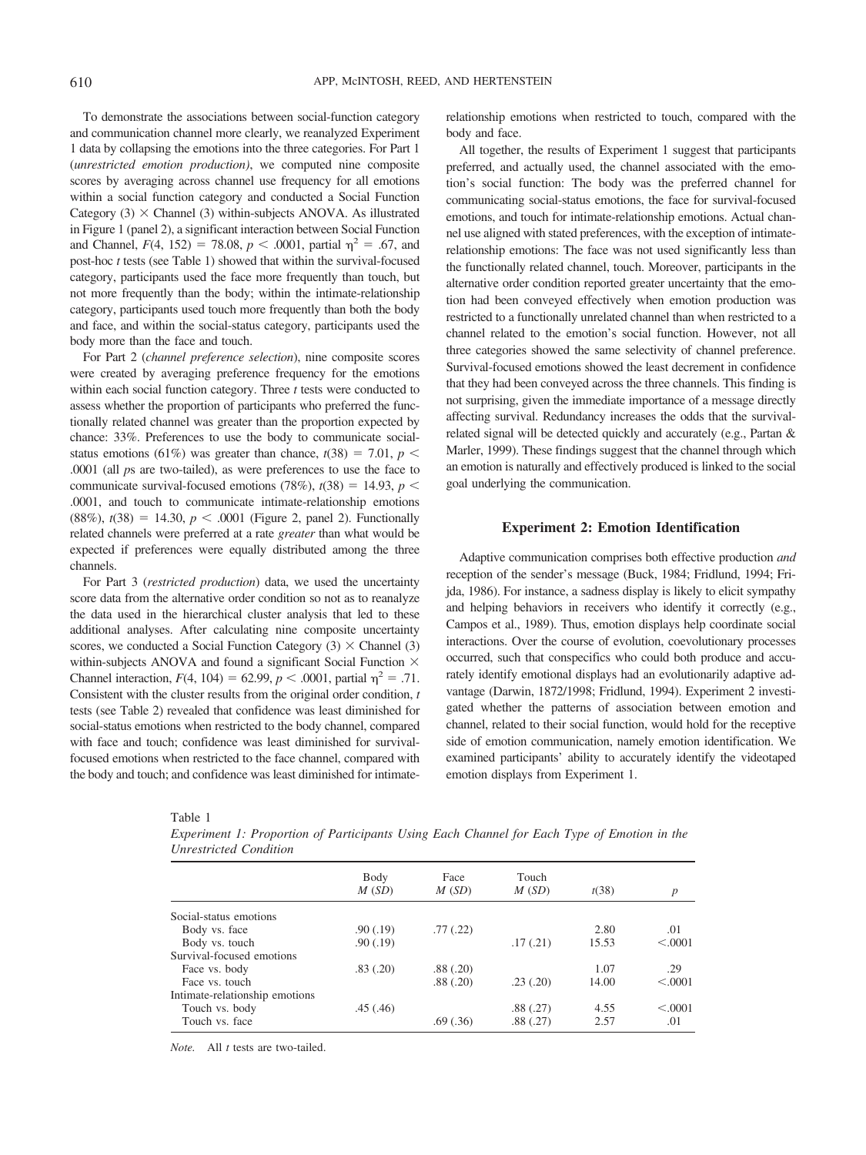To demonstrate the associations between social-function category and communication channel more clearly, we reanalyzed Experiment 1 data by collapsing the emotions into the three categories. For Part 1 (*unrestricted emotion production)*, we computed nine composite scores by averaging across channel use frequency for all emotions within a social function category and conducted a Social Function Category  $(3) \times$  Channel  $(3)$  within-subjects ANOVA. As illustrated in Figure 1 (panel 2), a significant interaction between Social Function and Channel,  $F(4, 152) = 78.08$ ,  $p < .0001$ , partial  $\eta^2 = .67$ , and post-hoc *t* tests (see Table 1) showed that within the survival-focused category, participants used the face more frequently than touch, but not more frequently than the body; within the intimate-relationship category, participants used touch more frequently than both the body and face, and within the social-status category, participants used the body more than the face and touch.

For Part 2 (*channel preference selection*), nine composite scores were created by averaging preference frequency for the emotions within each social function category. Three *t* tests were conducted to assess whether the proportion of participants who preferred the functionally related channel was greater than the proportion expected by chance: 33%. Preferences to use the body to communicate socialstatus emotions (61%) was greater than chance,  $t(38) = 7.01$ ,  $p <$ .0001 (all *p*s are two-tailed), as were preferences to use the face to communicate survival-focused emotions (78%),  $t(38) = 14.93$ ,  $p <$ .0001, and touch to communicate intimate-relationship emotions  $(88\%)$ ,  $t(38) = 14.30$ ,  $p < .0001$  (Figure 2, panel 2). Functionally related channels were preferred at a rate *greater* than what would be expected if preferences were equally distributed among the three channels.

For Part 3 (*restricted production*) data, we used the uncertainty score data from the alternative order condition so not as to reanalyze the data used in the hierarchical cluster analysis that led to these additional analyses. After calculating nine composite uncertainty scores, we conducted a Social Function Category  $(3) \times$  Channel  $(3)$ within-subjects ANOVA and found a significant Social Function  $\times$ Channel interaction,  $F(4, 104) = 62.99$ ,  $p < .0001$ , partial  $\eta^2 = .71$ . Consistent with the cluster results from the original order condition, *t* tests (see Table 2) revealed that confidence was least diminished for social-status emotions when restricted to the body channel, compared with face and touch; confidence was least diminished for survivalfocused emotions when restricted to the face channel, compared with the body and touch; and confidence was least diminished for intimaterelationship emotions when restricted to touch, compared with the body and face.

All together, the results of Experiment 1 suggest that participants preferred, and actually used, the channel associated with the emotion's social function: The body was the preferred channel for communicating social-status emotions, the face for survival-focused emotions, and touch for intimate-relationship emotions. Actual channel use aligned with stated preferences, with the exception of intimaterelationship emotions: The face was not used significantly less than the functionally related channel, touch. Moreover, participants in the alternative order condition reported greater uncertainty that the emotion had been conveyed effectively when emotion production was restricted to a functionally unrelated channel than when restricted to a channel related to the emotion's social function. However, not all three categories showed the same selectivity of channel preference. Survival-focused emotions showed the least decrement in confidence that they had been conveyed across the three channels. This finding is not surprising, given the immediate importance of a message directly affecting survival. Redundancy increases the odds that the survivalrelated signal will be detected quickly and accurately (e.g., Partan & Marler, 1999). These findings suggest that the channel through which an emotion is naturally and effectively produced is linked to the social goal underlying the communication.

#### **Experiment 2: Emotion Identification**

Adaptive communication comprises both effective production *and* reception of the sender's message (Buck, 1984; Fridlund, 1994; Frijda, 1986). For instance, a sadness display is likely to elicit sympathy and helping behaviors in receivers who identify it correctly (e.g., Campos et al., 1989). Thus, emotion displays help coordinate social interactions. Over the course of evolution, coevolutionary processes occurred, such that conspecifics who could both produce and accurately identify emotional displays had an evolutionarily adaptive advantage (Darwin, 1872/1998; Fridlund, 1994). Experiment 2 investigated whether the patterns of association between emotion and channel, related to their social function, would hold for the receptive side of emotion communication, namely emotion identification. We examined participants' ability to accurately identify the videotaped emotion displays from Experiment 1.

| v.<br>۰.<br>× | ٠<br>٠<br>× |  |
|---------------|-------------|--|

| Experiment 1: Proportion of Participants Using Each Channel for Each Type of Emotion in the |  |  |  |  |  |  |
|---------------------------------------------------------------------------------------------|--|--|--|--|--|--|
| Unrestricted Condition                                                                      |  |  |  |  |  |  |

|                                | Body<br>M(SD) | Face<br>M(SD) | Touch<br>M(SD) | t(38) | $\boldsymbol{p}$ |
|--------------------------------|---------------|---------------|----------------|-------|------------------|
| Social-status emotions         |               |               |                |       |                  |
| Body vs. face                  | .90(0.19)     | .77(.22)      |                | 2.80  | .01              |
| Body vs. touch                 | .90(0.19)     |               | .17(0.21)      | 15.53 | < .0001          |
| Survival-focused emotions      |               |               |                |       |                  |
| Face vs. body                  | .83(.20)      | .88(.20)      |                | 1.07  | .29              |
| Face ys. touch                 |               | .88(.20)      | .23(.20)       | 14.00 | < .0001          |
| Intimate-relationship emotions |               |               |                |       |                  |
| Touch vs. body                 | .45(.46)      |               | .88(.27)       | 4.55  | < .0001          |
| Touch vs. face                 |               | .69 (.36)     | .88(.27)       | 2.57  | .01              |

*Note.* All *t* tests are two-tailed.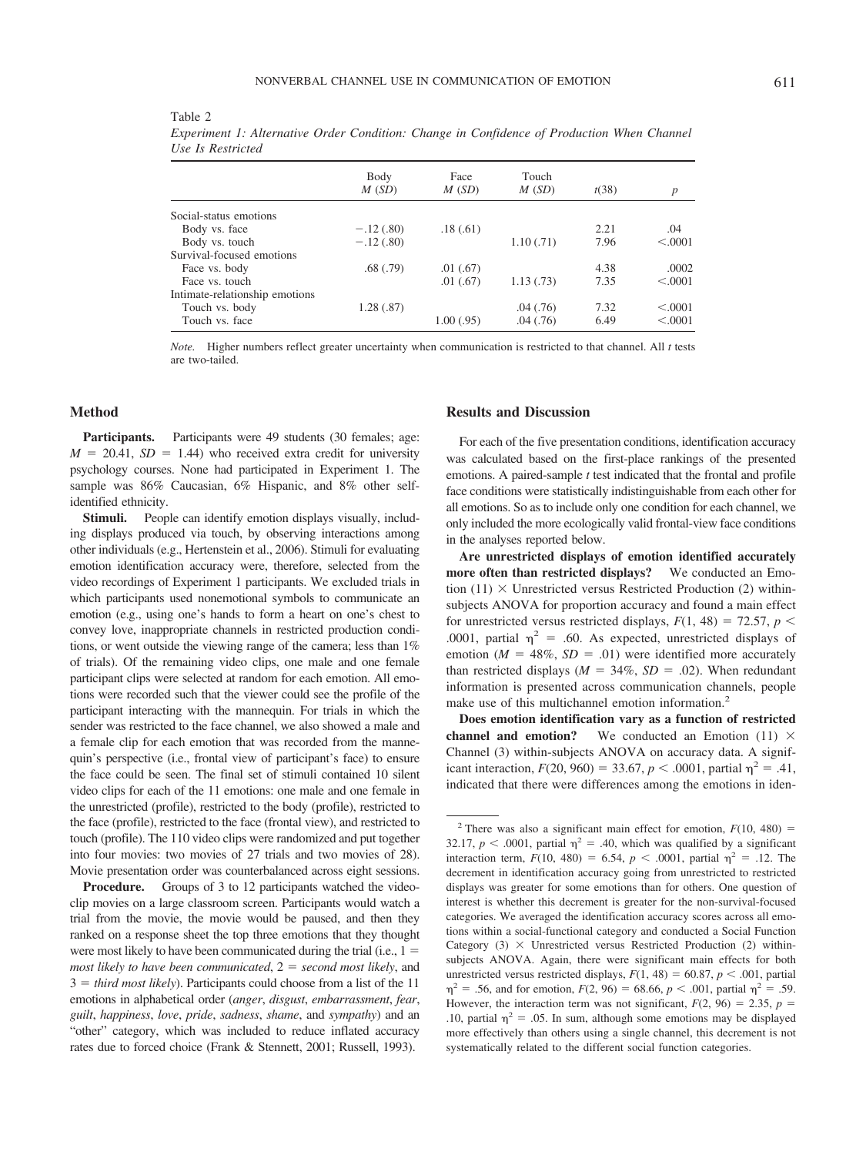| Use Is Restricted              |               |               |                |       |                  |  |  |  |
|--------------------------------|---------------|---------------|----------------|-------|------------------|--|--|--|
|                                | Body<br>M(SD) | Face<br>M(SD) | Touch<br>M(SD) | t(38) | $\boldsymbol{p}$ |  |  |  |
| Social-status emotions         |               |               |                |       |                  |  |  |  |
| Body vs. face                  | $-.12(.80)$   | .18(0.61)     |                | 2.21  | .04              |  |  |  |
| Body vs. touch                 | $-.12(.80)$   |               | 1.10(.71)      | 7.96  | < .0001          |  |  |  |
| Survival-focused emotions      |               |               |                |       |                  |  |  |  |
| Face vs. body                  | .68(.79)      | .01(0.67)     |                | 4.38  | .0002            |  |  |  |
| Face ys. touch                 |               | .01(0.67)     | 1.13(0.73)     | 7.35  | < .0001          |  |  |  |
| Intimate-relationship emotions |               |               |                |       |                  |  |  |  |
| Touch vs. body                 | 1.28(.87)     |               | .04(0.76)      | 7.32  | < .0001          |  |  |  |
| Touch vs. face                 |               | 1.00(.95)     | .04(0.76)      | 6.49  | < .0001          |  |  |  |

Table 2 *Experiment 1: Alternative Order Condition: Change in Confidence of Production When Channel*

*Note.* Higher numbers reflect greater uncertainty when communication is restricted to that channel. All *t* tests are two-tailed.

# **Method**

**Participants.** Participants were 49 students (30 females; age:  $M = 20.41$ ,  $SD = 1.44$ ) who received extra credit for university psychology courses. None had participated in Experiment 1. The sample was 86% Caucasian, 6% Hispanic, and 8% other selfidentified ethnicity.

**Stimuli.** People can identify emotion displays visually, including displays produced via touch, by observing interactions among other individuals (e.g., Hertenstein et al., 2006). Stimuli for evaluating emotion identification accuracy were, therefore, selected from the video recordings of Experiment 1 participants. We excluded trials in which participants used nonemotional symbols to communicate an emotion (e.g., using one's hands to form a heart on one's chest to convey love, inappropriate channels in restricted production conditions, or went outside the viewing range of the camera; less than 1% of trials). Of the remaining video clips, one male and one female participant clips were selected at random for each emotion. All emotions were recorded such that the viewer could see the profile of the participant interacting with the mannequin. For trials in which the sender was restricted to the face channel, we also showed a male and a female clip for each emotion that was recorded from the mannequin's perspective (i.e., frontal view of participant's face) to ensure the face could be seen. The final set of stimuli contained 10 silent video clips for each of the 11 emotions: one male and one female in the unrestricted (profile), restricted to the body (profile), restricted to the face (profile), restricted to the face (frontal view), and restricted to touch (profile). The 110 video clips were randomized and put together into four movies: two movies of 27 trials and two movies of 28). Movie presentation order was counterbalanced across eight sessions.

**Procedure.** Groups of 3 to 12 participants watched the videoclip movies on a large classroom screen. Participants would watch a trial from the movie, the movie would be paused, and then they ranked on a response sheet the top three emotions that they thought were most likely to have been communicated during the trial (i.e.,  $1 =$ *most likely to have been communicated*, 2 *second most likely*, and  $3 = third most likely$ . Participants could choose from a list of the 11 emotions in alphabetical order (*anger*, *disgust*, *embarrassment*, *fear*, *guilt*, *happiness*, *love*, *pride*, *sadness*, *shame*, and *sympathy*) and an "other" category, which was included to reduce inflated accuracy rates due to forced choice (Frank & Stennett, 2001; Russell, 1993).

#### **Results and Discussion**

For each of the five presentation conditions, identification accuracy was calculated based on the first-place rankings of the presented emotions. A paired-sample *t* test indicated that the frontal and profile face conditions were statistically indistinguishable from each other for all emotions. So as to include only one condition for each channel, we only included the more ecologically valid frontal-view face conditions in the analyses reported below.

**Are unrestricted displays of emotion identified accurately more often than restricted displays?** We conducted an Emotion (11)  $\times$  Unrestricted versus Restricted Production (2) withinsubjects ANOVA for proportion accuracy and found a main effect for unrestricted versus restricted displays,  $F(1, 48) = 72.57$ ,  $p <$ .0001, partial  $\eta^2$  = .60. As expected, unrestricted displays of emotion ( $M = 48\%$ ,  $SD = .01$ ) were identified more accurately than restricted displays ( $M = 34\%$ ,  $SD = .02$ ). When redundant information is presented across communication channels, people make use of this multichannel emotion information.<sup>2</sup>

**Does emotion identification vary as a function of restricted channel and emotion?** We conducted an Emotion (11)  $\times$ Channel (3) within-subjects ANOVA on accuracy data. A significant interaction,  $F(20, 960) = 33.67$ ,  $p < .0001$ , partial  $\eta^2 = .41$ , indicated that there were differences among the emotions in iden-

<sup>&</sup>lt;sup>2</sup> There was also a significant main effect for emotion,  $F(10, 480) =$ 32.17,  $p < .0001$ , partial  $\eta^2 = .40$ , which was qualified by a significant interaction term,  $F(10, 480) = 6.54$ ,  $p < .0001$ , partial  $\eta^2 = .12$ . The decrement in identification accuracy going from unrestricted to restricted displays was greater for some emotions than for others. One question of interest is whether this decrement is greater for the non-survival-focused categories. We averaged the identification accuracy scores across all emotions within a social-functional category and conducted a Social Function Category (3)  $\times$  Unrestricted versus Restricted Production (2) withinsubjects ANOVA. Again, there were significant main effects for both unrestricted versus restricted displays,  $F(1, 48) = 60.87, p < .001$ , partial  $\eta^2$  = .56, and for emotion, *F*(2, 96) = 68.66, *p* < .001, partial  $\eta^2$  = .59. However, the interaction term was not significant,  $F(2, 96) = 2.35$ ,  $p =$ .10, partial  $\eta^2 = .05$ . In sum, although some emotions may be displayed more effectively than others using a single channel, this decrement is not systematically related to the different social function categories.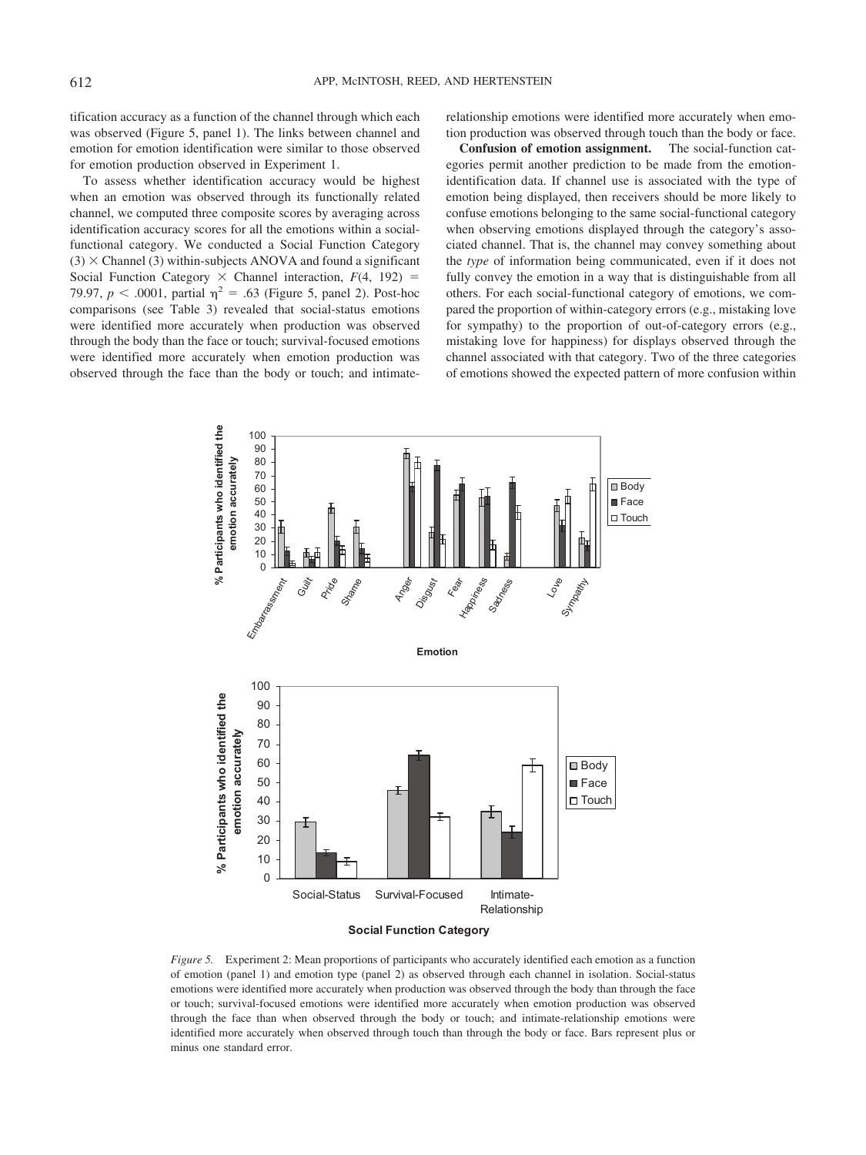tification accuracy as a function of the channel through which each was observed (Figure 5, panel 1). The links between channel and emotion for emotion identification were similar to those observed for emotion production observed in Experiment 1.

To assess whether identification accuracy would be highest when an emotion was observed through its functionally related channel, we computed three composite scores by averaging across identification accuracy scores for all the emotions within a socialfunctional category. We conducted a Social Function Category  $(3)$   $\times$  Channel (3) within-subjects ANOVA and found a significant Social Function Category  $\times$  Channel interaction,  $F(4, 192)$  = 79.97,  $p < .0001$ , partial  $\eta^2 = .63$  (Figure 5, panel 2). Post-hoc comparisons (see Table 3) revealed that social-status emotions were identified more accurately when production was observed through the body than the face or touch; survival-focused emotions were identified more accurately when emotion production was observed through the face than the body or touch; and intimaterelationship emotions were identified more accurately when emotion production was observed through touch than the body or face.

**Confusion of emotion assignment.** The social-function categories permit another prediction to be made from the emotionidentification data. If channel use is associated with the type of emotion being displayed, then receivers should be more likely to confuse emotions belonging to the same social-functional category when observing emotions displayed through the category's associated channel. That is, the channel may convey something about the *type* of information being communicated, even if it does not fully convey the emotion in a way that is distinguishable from all others. For each social-functional category of emotions, we compared the proportion of within-category errors (e.g., mistaking love for sympathy) to the proportion of out-of-category errors (e.g., mistaking love for happiness) for displays observed through the channel associated with that category. Two of the three categories of emotions showed the expected pattern of more confusion within



*Figure 5.* Experiment 2: Mean proportions of participants who accurately identified each emotion as a function of emotion (panel 1) and emotion type (panel 2) as observed through each channel in isolation. Social-status emotions were identified more accurately when production was observed through the body than through the face or touch; survival-focused emotions were identified more accurately when emotion production was observed through the face than when observed through the body or touch; and intimate-relationship emotions were identified more accurately when observed through touch than through the body or face. Bars represent plus or minus one standard error.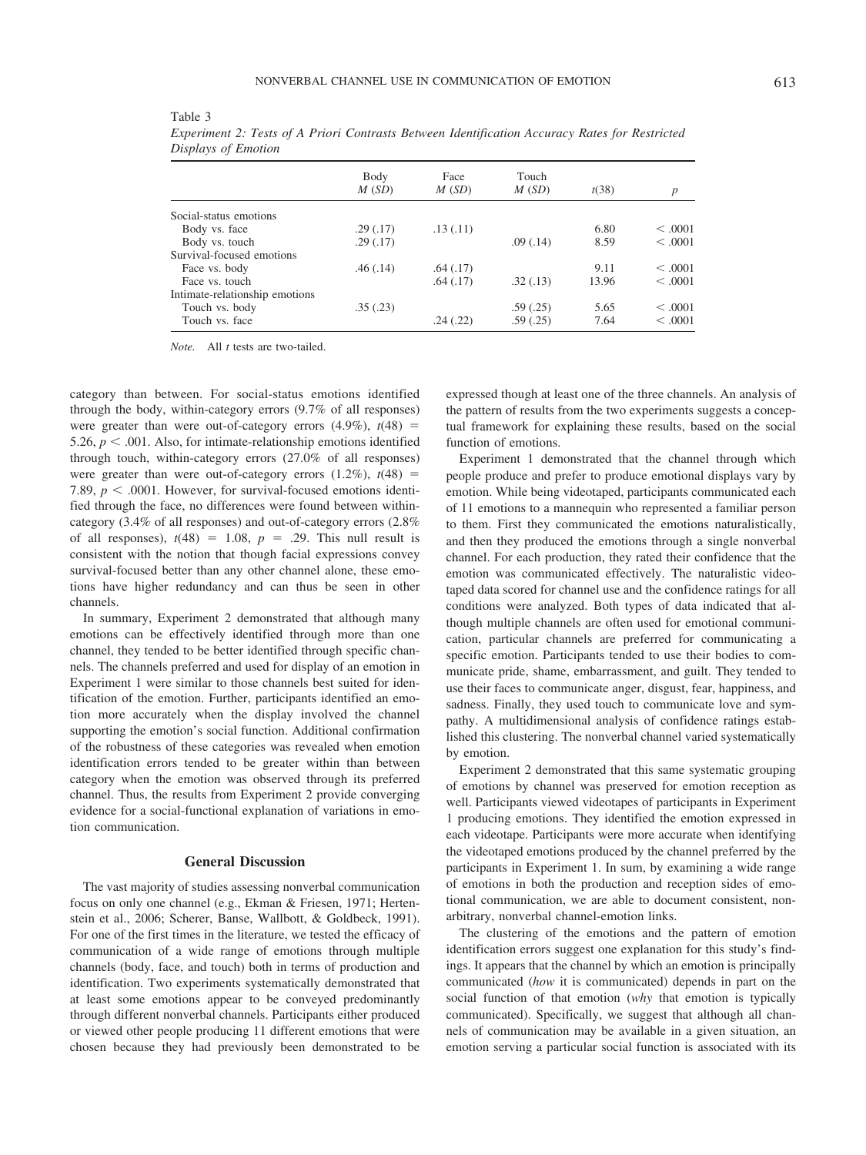|                                | Body<br>M(SD) | Face<br>M(SD) | Touch<br>M(SD) | t(38) | $\boldsymbol{p}$ |
|--------------------------------|---------------|---------------|----------------|-------|------------------|
|                                |               |               |                |       |                  |
| Social-status emotions         |               |               |                |       |                  |
| Body vs. face                  | .29(.17)      | .13(.11)      |                | 6.80  | < 0.001          |
| Body vs. touch                 | .29(.17)      |               | .09(0.14)      | 8.59  | < 0.001          |
| Survival-focused emotions      |               |               |                |       |                  |
| Face vs. body                  | .46(.14)      | .64(.17)      |                | 9.11  | < 0.0001         |
| Face vs. touch                 |               | .64(.17)      | .32(.13)       | 13.96 | < 0.001          |
| Intimate-relationship emotions |               |               |                |       |                  |
| Touch vs. body                 | .35(.23)      |               | .59(.25)       | 5.65  | < 0.001          |
| Touch vs. face                 |               | .24(.22)      | .59(.25)       | 7.64  | < 0.001          |
|                                |               |               |                |       |                  |

Table 3 *Experiment 2: Tests of A Priori Contrasts Between Identification Accuracy Rates for Restricted Displays of Emotion*

*Note.* All *t* tests are two-tailed.

category than between. For social-status emotions identified through the body, within-category errors (9.7% of all responses) were greater than were out-of-category errors  $(4.9\%)$ ,  $t(48)$  = 5.26,  $p < .001$ . Also, for intimate-relationship emotions identified through touch, within-category errors (27.0% of all responses) were greater than were out-of-category errors  $(1.2\%)$ ,  $t(48)$  = 7.89,  $p < .0001$ . However, for survival-focused emotions identified through the face, no differences were found between withincategory (3.4% of all responses) and out-of-category errors (2.8% of all responses),  $t(48) = 1.08$ ,  $p = .29$ . This null result is consistent with the notion that though facial expressions convey survival-focused better than any other channel alone, these emotions have higher redundancy and can thus be seen in other channels.

In summary, Experiment 2 demonstrated that although many emotions can be effectively identified through more than one channel, they tended to be better identified through specific channels. The channels preferred and used for display of an emotion in Experiment 1 were similar to those channels best suited for identification of the emotion. Further, participants identified an emotion more accurately when the display involved the channel supporting the emotion's social function. Additional confirmation of the robustness of these categories was revealed when emotion identification errors tended to be greater within than between category when the emotion was observed through its preferred channel. Thus, the results from Experiment 2 provide converging evidence for a social-functional explanation of variations in emotion communication.

#### **General Discussion**

The vast majority of studies assessing nonverbal communication focus on only one channel (e.g., Ekman & Friesen, 1971; Hertenstein et al., 2006; Scherer, Banse, Wallbott, & Goldbeck, 1991). For one of the first times in the literature, we tested the efficacy of communication of a wide range of emotions through multiple channels (body, face, and touch) both in terms of production and identification. Two experiments systematically demonstrated that at least some emotions appear to be conveyed predominantly through different nonverbal channels. Participants either produced or viewed other people producing 11 different emotions that were chosen because they had previously been demonstrated to be

expressed though at least one of the three channels. An analysis of the pattern of results from the two experiments suggests a conceptual framework for explaining these results, based on the social function of emotions.

Experiment 1 demonstrated that the channel through which people produce and prefer to produce emotional displays vary by emotion. While being videotaped, participants communicated each of 11 emotions to a mannequin who represented a familiar person to them. First they communicated the emotions naturalistically, and then they produced the emotions through a single nonverbal channel. For each production, they rated their confidence that the emotion was communicated effectively. The naturalistic videotaped data scored for channel use and the confidence ratings for all conditions were analyzed. Both types of data indicated that although multiple channels are often used for emotional communication, particular channels are preferred for communicating a specific emotion. Participants tended to use their bodies to communicate pride, shame, embarrassment, and guilt. They tended to use their faces to communicate anger, disgust, fear, happiness, and sadness. Finally, they used touch to communicate love and sympathy. A multidimensional analysis of confidence ratings established this clustering. The nonverbal channel varied systematically by emotion.

Experiment 2 demonstrated that this same systematic grouping of emotions by channel was preserved for emotion reception as well. Participants viewed videotapes of participants in Experiment 1 producing emotions. They identified the emotion expressed in each videotape. Participants were more accurate when identifying the videotaped emotions produced by the channel preferred by the participants in Experiment 1. In sum, by examining a wide range of emotions in both the production and reception sides of emotional communication, we are able to document consistent, nonarbitrary, nonverbal channel-emotion links.

The clustering of the emotions and the pattern of emotion identification errors suggest one explanation for this study's findings. It appears that the channel by which an emotion is principally communicated (*how* it is communicated) depends in part on the social function of that emotion (*why* that emotion is typically communicated). Specifically, we suggest that although all channels of communication may be available in a given situation, an emotion serving a particular social function is associated with its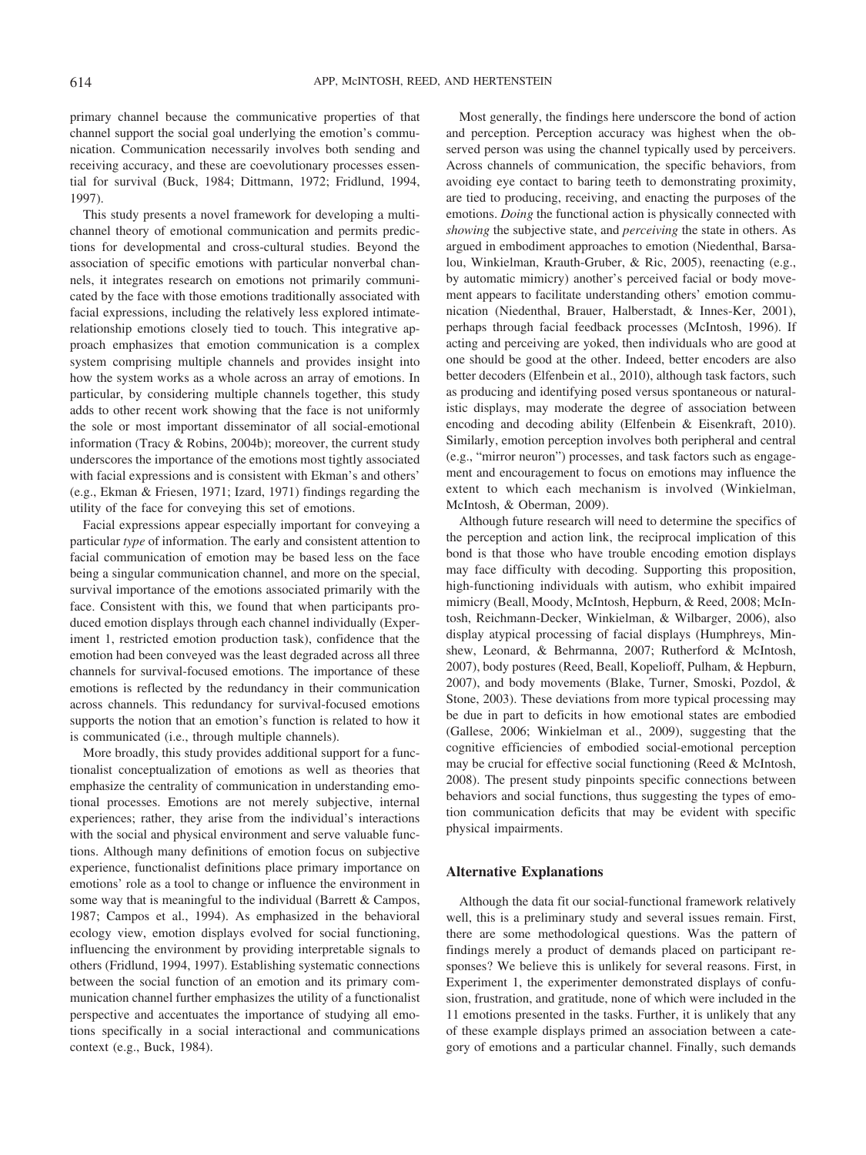primary channel because the communicative properties of that channel support the social goal underlying the emotion's communication. Communication necessarily involves both sending and receiving accuracy, and these are coevolutionary processes essential for survival (Buck, 1984; Dittmann, 1972; Fridlund, 1994, 1997).

This study presents a novel framework for developing a multichannel theory of emotional communication and permits predictions for developmental and cross-cultural studies. Beyond the association of specific emotions with particular nonverbal channels, it integrates research on emotions not primarily communicated by the face with those emotions traditionally associated with facial expressions, including the relatively less explored intimaterelationship emotions closely tied to touch. This integrative approach emphasizes that emotion communication is a complex system comprising multiple channels and provides insight into how the system works as a whole across an array of emotions. In particular, by considering multiple channels together, this study adds to other recent work showing that the face is not uniformly the sole or most important disseminator of all social-emotional information (Tracy & Robins, 2004b); moreover, the current study underscores the importance of the emotions most tightly associated with facial expressions and is consistent with Ekman's and others' (e.g., Ekman & Friesen, 1971; Izard, 1971) findings regarding the utility of the face for conveying this set of emotions.

Facial expressions appear especially important for conveying a particular *type* of information. The early and consistent attention to facial communication of emotion may be based less on the face being a singular communication channel, and more on the special, survival importance of the emotions associated primarily with the face. Consistent with this, we found that when participants produced emotion displays through each channel individually (Experiment 1, restricted emotion production task), confidence that the emotion had been conveyed was the least degraded across all three channels for survival-focused emotions. The importance of these emotions is reflected by the redundancy in their communication across channels. This redundancy for survival-focused emotions supports the notion that an emotion's function is related to how it is communicated (i.e., through multiple channels).

More broadly, this study provides additional support for a functionalist conceptualization of emotions as well as theories that emphasize the centrality of communication in understanding emotional processes. Emotions are not merely subjective, internal experiences; rather, they arise from the individual's interactions with the social and physical environment and serve valuable functions. Although many definitions of emotion focus on subjective experience, functionalist definitions place primary importance on emotions' role as a tool to change or influence the environment in some way that is meaningful to the individual (Barrett & Campos, 1987; Campos et al., 1994). As emphasized in the behavioral ecology view, emotion displays evolved for social functioning, influencing the environment by providing interpretable signals to others (Fridlund, 1994, 1997). Establishing systematic connections between the social function of an emotion and its primary communication channel further emphasizes the utility of a functionalist perspective and accentuates the importance of studying all emotions specifically in a social interactional and communications context (e.g., Buck, 1984).

Most generally, the findings here underscore the bond of action and perception. Perception accuracy was highest when the observed person was using the channel typically used by perceivers. Across channels of communication, the specific behaviors, from avoiding eye contact to baring teeth to demonstrating proximity, are tied to producing, receiving, and enacting the purposes of the emotions. *Doing* the functional action is physically connected with *showing* the subjective state, and *perceiving* the state in others. As argued in embodiment approaches to emotion (Niedenthal, Barsalou, Winkielman, Krauth-Gruber, & Ric, 2005), reenacting (e.g., by automatic mimicry) another's perceived facial or body movement appears to facilitate understanding others' emotion communication (Niedenthal, Brauer, Halberstadt, & Innes-Ker, 2001), perhaps through facial feedback processes (McIntosh, 1996). If acting and perceiving are yoked, then individuals who are good at one should be good at the other. Indeed, better encoders are also better decoders (Elfenbein et al., 2010), although task factors, such as producing and identifying posed versus spontaneous or naturalistic displays, may moderate the degree of association between encoding and decoding ability (Elfenbein & Eisenkraft, 2010). Similarly, emotion perception involves both peripheral and central (e.g., "mirror neuron") processes, and task factors such as engagement and encouragement to focus on emotions may influence the extent to which each mechanism is involved (Winkielman, McIntosh, & Oberman, 2009).

Although future research will need to determine the specifics of the perception and action link, the reciprocal implication of this bond is that those who have trouble encoding emotion displays may face difficulty with decoding. Supporting this proposition, high-functioning individuals with autism, who exhibit impaired mimicry (Beall, Moody, McIntosh, Hepburn, & Reed, 2008; McIntosh, Reichmann-Decker, Winkielman, & Wilbarger, 2006), also display atypical processing of facial displays (Humphreys, Minshew, Leonard, & Behrmanna, 2007; Rutherford & McIntosh, 2007), body postures (Reed, Beall, Kopelioff, Pulham, & Hepburn, 2007), and body movements (Blake, Turner, Smoski, Pozdol, & Stone, 2003). These deviations from more typical processing may be due in part to deficits in how emotional states are embodied (Gallese, 2006; Winkielman et al., 2009), suggesting that the cognitive efficiencies of embodied social-emotional perception may be crucial for effective social functioning (Reed & McIntosh, 2008). The present study pinpoints specific connections between behaviors and social functions, thus suggesting the types of emotion communication deficits that may be evident with specific physical impairments.

#### **Alternative Explanations**

Although the data fit our social-functional framework relatively well, this is a preliminary study and several issues remain. First, there are some methodological questions. Was the pattern of findings merely a product of demands placed on participant responses? We believe this is unlikely for several reasons. First, in Experiment 1, the experimenter demonstrated displays of confusion, frustration, and gratitude, none of which were included in the 11 emotions presented in the tasks. Further, it is unlikely that any of these example displays primed an association between a category of emotions and a particular channel. Finally, such demands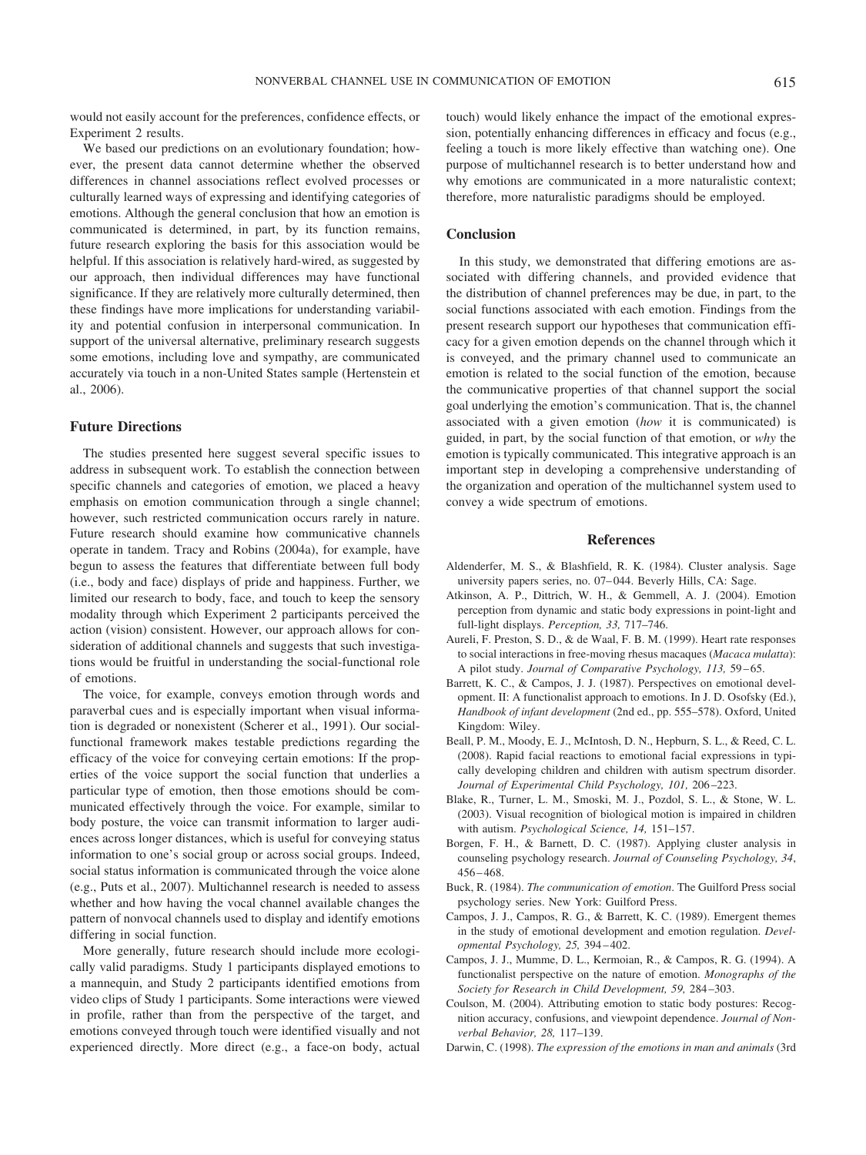would not easily account for the preferences, confidence effects, or Experiment 2 results.

We based our predictions on an evolutionary foundation; however, the present data cannot determine whether the observed differences in channel associations reflect evolved processes or culturally learned ways of expressing and identifying categories of emotions. Although the general conclusion that how an emotion is communicated is determined, in part, by its function remains, future research exploring the basis for this association would be helpful. If this association is relatively hard-wired, as suggested by our approach, then individual differences may have functional significance. If they are relatively more culturally determined, then these findings have more implications for understanding variability and potential confusion in interpersonal communication. In support of the universal alternative, preliminary research suggests some emotions, including love and sympathy, are communicated accurately via touch in a non-United States sample (Hertenstein et al., 2006).

#### **Future Directions**

The studies presented here suggest several specific issues to address in subsequent work. To establish the connection between specific channels and categories of emotion, we placed a heavy emphasis on emotion communication through a single channel; however, such restricted communication occurs rarely in nature. Future research should examine how communicative channels operate in tandem. Tracy and Robins (2004a), for example, have begun to assess the features that differentiate between full body (i.e., body and face) displays of pride and happiness. Further, we limited our research to body, face, and touch to keep the sensory modality through which Experiment 2 participants perceived the action (vision) consistent. However, our approach allows for consideration of additional channels and suggests that such investigations would be fruitful in understanding the social-functional role of emotions.

The voice, for example, conveys emotion through words and paraverbal cues and is especially important when visual information is degraded or nonexistent (Scherer et al., 1991). Our socialfunctional framework makes testable predictions regarding the efficacy of the voice for conveying certain emotions: If the properties of the voice support the social function that underlies a particular type of emotion, then those emotions should be communicated effectively through the voice. For example, similar to body posture, the voice can transmit information to larger audiences across longer distances, which is useful for conveying status information to one's social group or across social groups. Indeed, social status information is communicated through the voice alone (e.g., Puts et al., 2007). Multichannel research is needed to assess whether and how having the vocal channel available changes the pattern of nonvocal channels used to display and identify emotions differing in social function.

More generally, future research should include more ecologically valid paradigms. Study 1 participants displayed emotions to a mannequin, and Study 2 participants identified emotions from video clips of Study 1 participants. Some interactions were viewed in profile, rather than from the perspective of the target, and emotions conveyed through touch were identified visually and not experienced directly. More direct (e.g., a face-on body, actual touch) would likely enhance the impact of the emotional expression, potentially enhancing differences in efficacy and focus (e.g., feeling a touch is more likely effective than watching one). One purpose of multichannel research is to better understand how and why emotions are communicated in a more naturalistic context; therefore, more naturalistic paradigms should be employed.

## **Conclusion**

In this study, we demonstrated that differing emotions are associated with differing channels, and provided evidence that the distribution of channel preferences may be due, in part, to the social functions associated with each emotion. Findings from the present research support our hypotheses that communication efficacy for a given emotion depends on the channel through which it is conveyed, and the primary channel used to communicate an emotion is related to the social function of the emotion, because the communicative properties of that channel support the social goal underlying the emotion's communication. That is, the channel associated with a given emotion (*how* it is communicated) is guided, in part, by the social function of that emotion, or *why* the emotion is typically communicated. This integrative approach is an important step in developing a comprehensive understanding of the organization and operation of the multichannel system used to convey a wide spectrum of emotions.

# **References**

- Aldenderfer, M. S., & Blashfield, R. K. (1984). Cluster analysis. Sage university papers series, no. 07– 044. Beverly Hills, CA: Sage.
- Atkinson, A. P., Dittrich, W. H., & Gemmell, A. J. (2004). Emotion perception from dynamic and static body expressions in point-light and full-light displays. *Perception, 33,* 717–746.
- Aureli, F. Preston, S. D., & de Waal, F. B. M. (1999). Heart rate responses to social interactions in free-moving rhesus macaques (*Macaca mulatta*): A pilot study. *Journal of Comparative Psychology, 113,* 59 – 65.
- Barrett, K. C., & Campos, J. J. (1987). Perspectives on emotional development. II: A functionalist approach to emotions. In J. D. Osofsky (Ed.), *Handbook of infant development* (2nd ed., pp. 555–578). Oxford, United Kingdom: Wiley.
- Beall, P. M., Moody, E. J., McIntosh, D. N., Hepburn, S. L., & Reed, C. L. (2008). Rapid facial reactions to emotional facial expressions in typically developing children and children with autism spectrum disorder. *Journal of Experimental Child Psychology, 101,* 206 –223.
- Blake, R., Turner, L. M., Smoski, M. J., Pozdol, S. L., & Stone, W. L. (2003). Visual recognition of biological motion is impaired in children with autism. *Psychological Science, 14,* 151–157.
- Borgen, F. H., & Barnett, D. C. (1987). Applying cluster analysis in counseling psychology research. *Journal of Counseling Psychology, 34*, 456 – 468.
- Buck, R. (1984). *The communication of emotion*. The Guilford Press social psychology series. New York: Guilford Press.
- Campos, J. J., Campos, R. G., & Barrett, K. C. (1989). Emergent themes in the study of emotional development and emotion regulation. *Developmental Psychology, 25,* 394 – 402.
- Campos, J. J., Mumme, D. L., Kermoian, R., & Campos, R. G. (1994). A functionalist perspective on the nature of emotion. *Monographs of the Society for Research in Child Development, 59,* 284 –303.
- Coulson, M. (2004). Attributing emotion to static body postures: Recognition accuracy, confusions, and viewpoint dependence. *Journal of Nonverbal Behavior, 28,* 117–139.
- Darwin, C. (1998). *The expression of the emotions in man and animals* (3rd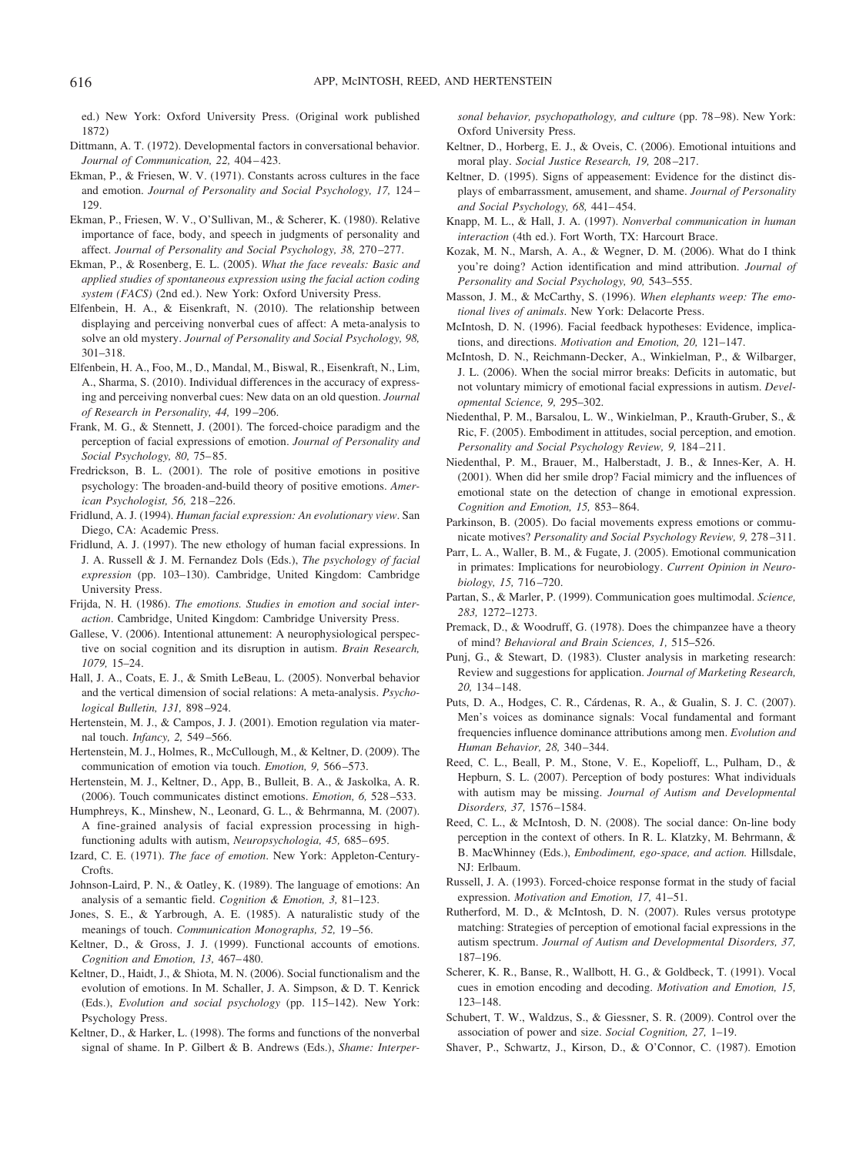ed.) New York: Oxford University Press. (Original work published 1872)

- Dittmann, A. T. (1972). Developmental factors in conversational behavior. *Journal of Communication, 22,* 404 – 423.
- Ekman, P., & Friesen, W. V. (1971). Constants across cultures in the face and emotion. *Journal of Personality and Social Psychology, 17,* 124 – 129.
- Ekman, P., Friesen, W. V., O'Sullivan, M., & Scherer, K. (1980). Relative importance of face, body, and speech in judgments of personality and affect. *Journal of Personality and Social Psychology, 38,* 270 –277.
- Ekman, P., & Rosenberg, E. L. (2005). *What the face reveals: Basic and applied studies of spontaneous expression using the facial action coding system (FACS)* (2nd ed.). New York: Oxford University Press.
- Elfenbein, H. A., & Eisenkraft, N. (2010). The relationship between displaying and perceiving nonverbal cues of affect: A meta-analysis to solve an old mystery. *Journal of Personality and Social Psychology, 98,* 301–318.
- Elfenbein, H. A., Foo, M., D., Mandal, M., Biswal, R., Eisenkraft, N., Lim, A., Sharma, S. (2010). Individual differences in the accuracy of expressing and perceiving nonverbal cues: New data on an old question. *Journal of Research in Personality, 44,* 199 –206.
- Frank, M. G., & Stennett, J. (2001). The forced-choice paradigm and the perception of facial expressions of emotion. *Journal of Personality and Social Psychology, 80,* 75– 85.
- Fredrickson, B. L. (2001). The role of positive emotions in positive psychology: The broaden-and-build theory of positive emotions. *American Psychologist, 56,* 218 –226.
- Fridlund, A. J. (1994). *Human facial expression: An evolutionary view*. San Diego, CA: Academic Press.
- Fridlund, A. J. (1997). The new ethology of human facial expressions. In J. A. Russell & J. M. Fernandez Dols (Eds.), *The psychology of facial expression* (pp. 103–130). Cambridge, United Kingdom: Cambridge University Press.
- Frijda, N. H. (1986). *The emotions. Studies in emotion and social interaction*. Cambridge, United Kingdom: Cambridge University Press.
- Gallese, V. (2006). Intentional attunement: A neurophysiological perspective on social cognition and its disruption in autism. *Brain Research, 1079,* 15–24.
- Hall, J. A., Coats, E. J., & Smith LeBeau, L. (2005). Nonverbal behavior and the vertical dimension of social relations: A meta-analysis. *Psychological Bulletin, 131,* 898 –924.
- Hertenstein, M. J., & Campos, J. J. (2001). Emotion regulation via maternal touch. *Infancy, 2,* 549 –566.
- Hertenstein, M. J., Holmes, R., McCullough, M., & Keltner, D. (2009). The communication of emotion via touch. *Emotion, 9,* 566 –573.
- Hertenstein, M. J., Keltner, D., App, B., Bulleit, B. A., & Jaskolka, A. R. (2006). Touch communicates distinct emotions. *Emotion, 6,* 528 –533.
- Humphreys, K., Minshew, N., Leonard, G. L., & Behrmanna, M. (2007). A fine-grained analysis of facial expression processing in highfunctioning adults with autism, *Neuropsychologia, 45,* 685– 695.
- Izard, C. E. (1971). *The face of emotion*. New York: Appleton-Century-Crofts.
- Johnson-Laird, P. N., & Oatley, K. (1989). The language of emotions: An analysis of a semantic field. *Cognition & Emotion, 3,* 81–123.
- Jones, S. E., & Yarbrough, A. E. (1985). A naturalistic study of the meanings of touch. *Communication Monographs, 52,* 19 –56.
- Keltner, D., & Gross, J. J. (1999). Functional accounts of emotions. *Cognition and Emotion, 13,* 467– 480.
- Keltner, D., Haidt, J., & Shiota, M. N. (2006). Social functionalism and the evolution of emotions. In M. Schaller, J. A. Simpson, & D. T. Kenrick (Eds.), *Evolution and social psychology* (pp. 115–142). New York: Psychology Press.
- Keltner, D., & Harker, L. (1998). The forms and functions of the nonverbal signal of shame. In P. Gilbert & B. Andrews (Eds.), *Shame: Interper-*

*sonal behavior, psychopathology, and culture* (pp. 78 –98). New York: Oxford University Press.

- Keltner, D., Horberg, E. J., & Oveis, C. (2006). Emotional intuitions and moral play. *Social Justice Research, 19,* 208 –217.
- Keltner, D. (1995). Signs of appeasement: Evidence for the distinct displays of embarrassment, amusement, and shame. *Journal of Personality and Social Psychology, 68,* 441– 454.
- Knapp, M. L., & Hall, J. A. (1997). *Nonverbal communication in human interaction* (4th ed.). Fort Worth, TX: Harcourt Brace.
- Kozak, M. N., Marsh, A. A., & Wegner, D. M. (2006). What do I think you're doing? Action identification and mind attribution. *Journal of Personality and Social Psychology, 90,* 543–555.
- Masson, J. M., & McCarthy, S. (1996). *When elephants weep: The emotional lives of animals*. New York: Delacorte Press.
- McIntosh, D. N. (1996). Facial feedback hypotheses: Evidence, implications, and directions. *Motivation and Emotion, 20,* 121–147.
- McIntosh, D. N., Reichmann-Decker, A., Winkielman, P., & Wilbarger, J. L. (2006). When the social mirror breaks: Deficits in automatic, but not voluntary mimicry of emotional facial expressions in autism. *Developmental Science, 9,* 295–302.
- Niedenthal, P. M., Barsalou, L. W., Winkielman, P., Krauth-Gruber, S., & Ric, F. (2005). Embodiment in attitudes, social perception, and emotion. *Personality and Social Psychology Review, 9,* 184 –211.
- Niedenthal, P. M., Brauer, M., Halberstadt, J. B., & Innes-Ker, A. H. (2001). When did her smile drop? Facial mimicry and the influences of emotional state on the detection of change in emotional expression. *Cognition and Emotion, 15,* 853– 864.
- Parkinson, B. (2005). Do facial movements express emotions or communicate motives? *Personality and Social Psychology Review, 9,* 278 –311.
- Parr, L. A., Waller, B. M., & Fugate, J. (2005). Emotional communication in primates: Implications for neurobiology. *Current Opinion in Neurobiology, 15,* 716 –720.
- Partan, S., & Marler, P. (1999). Communication goes multimodal. *Science, 283,* 1272–1273.
- Premack, D., & Woodruff, G. (1978). Does the chimpanzee have a theory of mind? *Behavioral and Brain Sciences, 1,* 515–526.
- Punj, G., & Stewart, D. (1983). Cluster analysis in marketing research: Review and suggestions for application. *Journal of Marketing Research, 20,* 134 –148.
- Puts, D. A., Hodges, C. R., Cárdenas, R. A., & Gualin, S. J. C. (2007). Men's voices as dominance signals: Vocal fundamental and formant frequencies influence dominance attributions among men. *Evolution and Human Behavior, 28,* 340 –344.
- Reed, C. L., Beall, P. M., Stone, V. E., Kopelioff, L., Pulham, D., & Hepburn, S. L. (2007). Perception of body postures: What individuals with autism may be missing. *Journal of Autism and Developmental Disorders, 37,* 1576 –1584.
- Reed, C. L., & McIntosh, D. N. (2008). The social dance: On-line body perception in the context of others. In R. L. Klatzky, M. Behrmann, & B. MacWhinney (Eds.), *Embodiment, ego-space, and action.* Hillsdale, NJ: Erlbaum.
- Russell, J. A. (1993). Forced-choice response format in the study of facial expression. *Motivation and Emotion, 17,* 41–51.
- Rutherford, M. D., & McIntosh, D. N. (2007). Rules versus prototype matching: Strategies of perception of emotional facial expressions in the autism spectrum. *Journal of Autism and Developmental Disorders, 37,* 187–196.
- Scherer, K. R., Banse, R., Wallbott, H. G., & Goldbeck, T. (1991). Vocal cues in emotion encoding and decoding. *Motivation and Emotion, 15,* 123–148.
- Schubert, T. W., Waldzus, S., & Giessner, S. R. (2009). Control over the association of power and size. *Social Cognition, 27,* 1–19.
- Shaver, P., Schwartz, J., Kirson, D., & O'Connor, C. (1987). Emotion